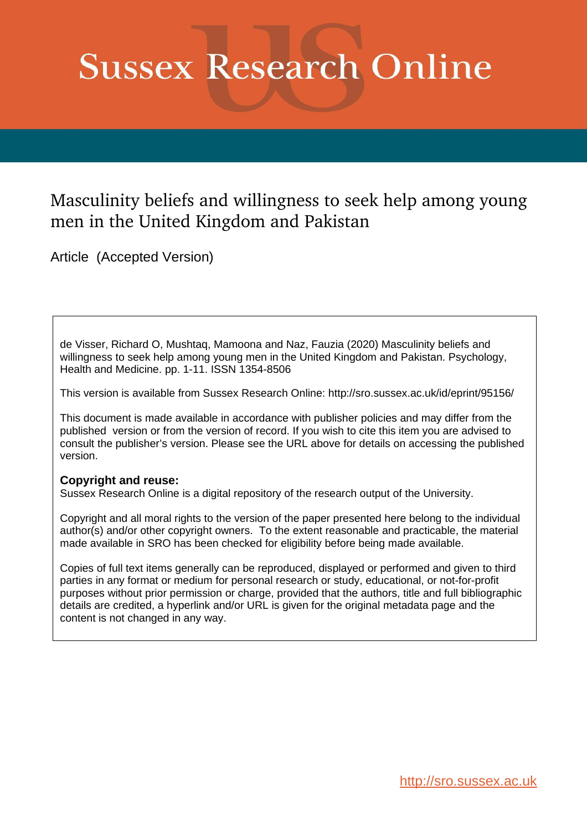# **Sussex Research Online**

# Masculinity beliefs and willingness to seek help among young men in the United Kingdom and Pakistan

Article (Accepted Version)

de Visser, Richard O, Mushtaq, Mamoona and Naz, Fauzia (2020) Masculinity beliefs and willingness to seek help among young men in the United Kingdom and Pakistan. Psychology, Health and Medicine. pp. 1-11. ISSN 1354-8506

This version is available from Sussex Research Online: http://sro.sussex.ac.uk/id/eprint/95156/

This document is made available in accordance with publisher policies and may differ from the published version or from the version of record. If you wish to cite this item you are advised to consult the publisher's version. Please see the URL above for details on accessing the published version.

# **Copyright and reuse:**

Sussex Research Online is a digital repository of the research output of the University.

Copyright and all moral rights to the version of the paper presented here belong to the individual author(s) and/or other copyright owners. To the extent reasonable and practicable, the material made available in SRO has been checked for eligibility before being made available.

Copies of full text items generally can be reproduced, displayed or performed and given to third parties in any format or medium for personal research or study, educational, or not-for-profit purposes without prior permission or charge, provided that the authors, title and full bibliographic details are credited, a hyperlink and/or URL is given for the original metadata page and the content is not changed in any way.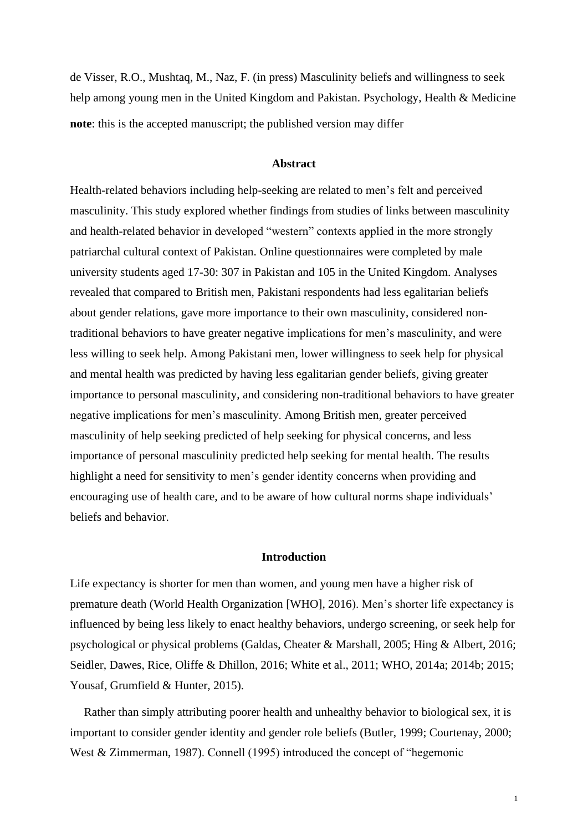de Visser, R.O., Mushtaq, M., Naz, F. (in press) Masculinity beliefs and willingness to seek help among young men in the United Kingdom and Pakistan. Psychology, Health & Medicine **note**: this is the accepted manuscript; the published version may differ

#### **Abstract**

Health-related behaviors including help-seeking are related to men's felt and perceived masculinity. This study explored whether findings from studies of links between masculinity and health-related behavior in developed "western" contexts applied in the more strongly patriarchal cultural context of Pakistan. Online questionnaires were completed by male university students aged 17-30: 307 in Pakistan and 105 in the United Kingdom. Analyses revealed that compared to British men, Pakistani respondents had less egalitarian beliefs about gender relations, gave more importance to their own masculinity, considered nontraditional behaviors to have greater negative implications for men's masculinity, and were less willing to seek help. Among Pakistani men, lower willingness to seek help for physical and mental health was predicted by having less egalitarian gender beliefs, giving greater importance to personal masculinity, and considering non-traditional behaviors to have greater negative implications for men's masculinity. Among British men, greater perceived masculinity of help seeking predicted of help seeking for physical concerns, and less importance of personal masculinity predicted help seeking for mental health. The results highlight a need for sensitivity to men's gender identity concerns when providing and encouraging use of health care, and to be aware of how cultural norms shape individuals' beliefs and behavior.

# **Introduction**

Life expectancy is shorter for men than women, and young men have a higher risk of premature death (World Health Organization [WHO], 2016). Men's shorter life expectancy is influenced by being less likely to enact healthy behaviors, undergo screening, or seek help for psychological or physical problems (Galdas, Cheater & Marshall, 2005; Hing & Albert, 2016; Seidler, Dawes, Rice, Oliffe & Dhillon, 2016; White et al., 2011; WHO, 2014a; 2014b; 2015; Yousaf, Grumfield & Hunter, 2015).

Rather than simply attributing poorer health and unhealthy behavior to biological sex, it is important to consider gender identity and gender role beliefs (Butler, 1999; Courtenay, 2000; West & Zimmerman, 1987). Connell (1995) introduced the concept of "hegemonic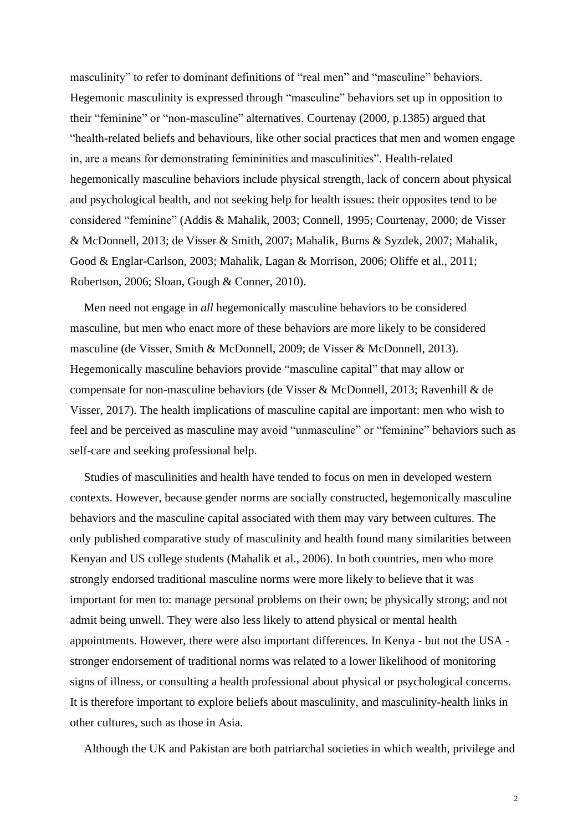masculinity" to refer to dominant definitions of "real men" and "masculine" behaviors. Hegemonic masculinity is expressed through "masculine" behaviors set up in opposition to their "feminine" or "non-masculine" alternatives. Courtenay (2000, p.1385) argued that "health-related beliefs and behaviours, like other social practices that men and women engage in, are a means for demonstrating femininities and masculinities". Health-related hegemonically masculine behaviors include physical strength, lack of concern about physical and psychological health, and not seeking help for health issues: their opposites tend to be considered "feminine" (Addis & Mahalik, 2003; Connell, 1995; Courtenay, 2000; de Visser & McDonnell, 2013; de Visser & Smith, 2007; Mahalik, Burns & Syzdek, 2007; Mahalik, Good & Englar-Carlson, 2003; Mahalik, Lagan & Morrison, 2006; Oliffe et al., 2011; Robertson, 2006; Sloan, Gough & Conner, 2010).

Men need not engage in *all* hegemonically masculine behaviors to be considered masculine, but men who enact more of these behaviors are more likely to be considered masculine (de Visser, Smith & McDonnell, 2009; de Visser & McDonnell, 2013). Hegemonically masculine behaviors provide "masculine capital" that may allow or compensate for non-masculine behaviors (de Visser & McDonnell, 2013; Ravenhill & de Visser, 2017). The health implications of masculine capital are important: men who wish to feel and be perceived as masculine may avoid "unmasculine" or "feminine" behaviors such as self-care and seeking professional help.

Studies of masculinities and health have tended to focus on men in developed western contexts. However, because gender norms are socially constructed, hegemonically masculine behaviors and the masculine capital associated with them may vary between cultures. The only published comparative study of masculinity and health found many similarities between Kenyan and US college students (Mahalik et al., 2006). In both countries, men who more strongly endorsed traditional masculine norms were more likely to believe that it was important for men to: manage personal problems on their own; be physically strong; and not admit being unwell. They were also less likely to attend physical or mental health appointments. However, there were also important differences. In Kenya - but not the USA stronger endorsement of traditional norms was related to a lower likelihood of monitoring signs of illness, or consulting a health professional about physical or psychological concerns. It is therefore important to explore beliefs about masculinity, and masculinity-health links in other cultures, such as those in Asia.

Although the UK and Pakistan are both patriarchal societies in which wealth, privilege and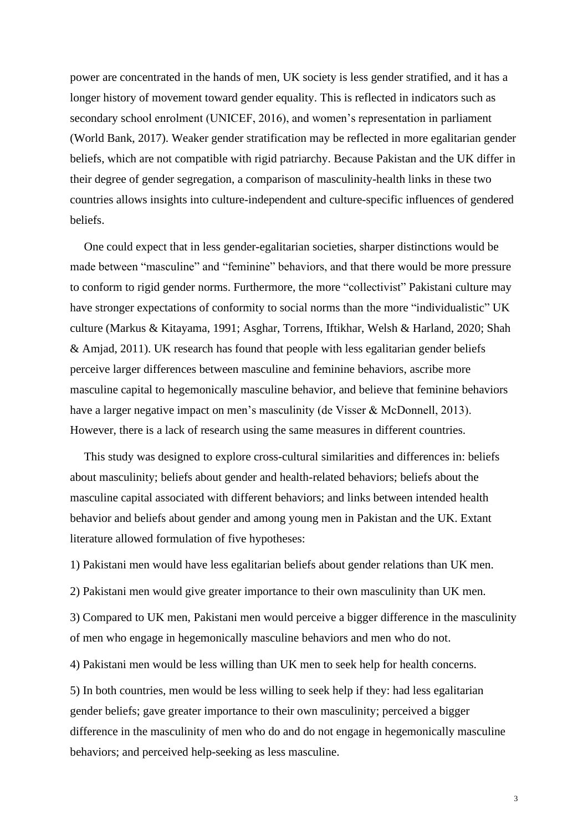power are concentrated in the hands of men, UK society is less gender stratified, and it has a longer history of movement toward gender equality. This is reflected in indicators such as secondary school enrolment (UNICEF, 2016), and women's representation in parliament (World Bank, 2017). Weaker gender stratification may be reflected in more egalitarian gender beliefs, which are not compatible with rigid patriarchy. Because Pakistan and the UK differ in their degree of gender segregation, a comparison of masculinity-health links in these two countries allows insights into culture-independent and culture-specific influences of gendered beliefs.

One could expect that in less gender-egalitarian societies, sharper distinctions would be made between "masculine" and "feminine" behaviors, and that there would be more pressure to conform to rigid gender norms. Furthermore, the more "collectivist" Pakistani culture may have stronger expectations of conformity to social norms than the more "individualistic" UK culture (Markus & Kitayama, 1991; Asghar, Torrens, Iftikhar, Welsh & Harland, 2020; Shah & Amjad, 2011). UK research has found that people with less egalitarian gender beliefs perceive larger differences between masculine and feminine behaviors, ascribe more masculine capital to hegemonically masculine behavior, and believe that feminine behaviors have a larger negative impact on men's masculinity (de Visser & McDonnell, 2013). However, there is a lack of research using the same measures in different countries.

This study was designed to explore cross-cultural similarities and differences in: beliefs about masculinity; beliefs about gender and health-related behaviors; beliefs about the masculine capital associated with different behaviors; and links between intended health behavior and beliefs about gender and among young men in Pakistan and the UK. Extant literature allowed formulation of five hypotheses:

1) Pakistani men would have less egalitarian beliefs about gender relations than UK men.

2) Pakistani men would give greater importance to their own masculinity than UK men.

3) Compared to UK men, Pakistani men would perceive a bigger difference in the masculinity of men who engage in hegemonically masculine behaviors and men who do not.

4) Pakistani men would be less willing than UK men to seek help for health concerns.

5) In both countries, men would be less willing to seek help if they: had less egalitarian gender beliefs; gave greater importance to their own masculinity; perceived a bigger difference in the masculinity of men who do and do not engage in hegemonically masculine behaviors; and perceived help-seeking as less masculine.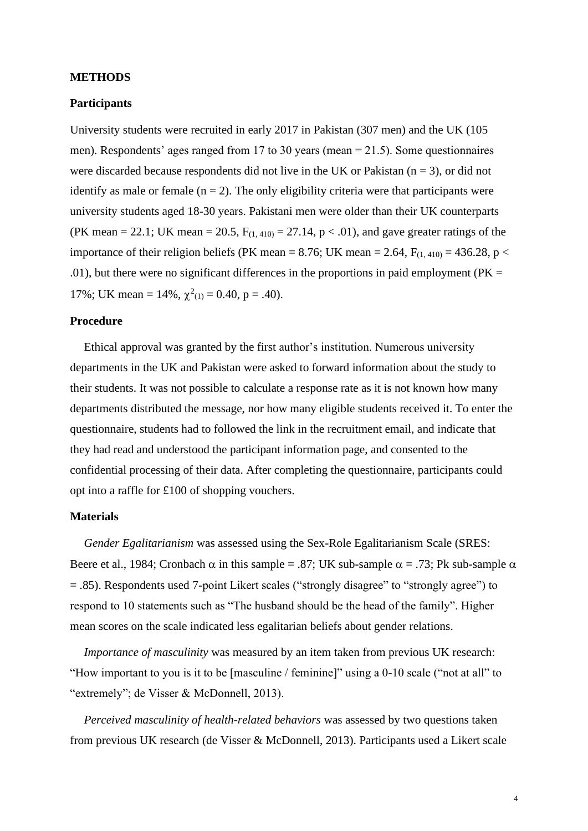#### **METHODS**

# **Participants**

University students were recruited in early 2017 in Pakistan (307 men) and the UK (105 men). Respondents' ages ranged from 17 to 30 years (mean  $= 21.5$ ). Some questionnaires were discarded because respondents did not live in the UK or Pakistan ( $n = 3$ ), or did not identify as male or female  $(n = 2)$ . The only eligibility criteria were that participants were university students aged 18-30 years. Pakistani men were older than their UK counterparts (PK mean = 22.1; UK mean = 20.5,  $F_{(1, 410)} = 27.14$ ,  $p < .01$ ), and gave greater ratings of the importance of their religion beliefs (PK mean = 8.76; UK mean = 2.64,  $F_{(1,410)} = 436.28$ , p < .01), but there were no significant differences in the proportions in paid employment ( $PK =$ 17%; UK mean = 14%,  $\chi^2(1)} = 0.40$ , p = .40).

#### **Procedure**

Ethical approval was granted by the first author's institution. Numerous university departments in the UK and Pakistan were asked to forward information about the study to their students. It was not possible to calculate a response rate as it is not known how many departments distributed the message, nor how many eligible students received it. To enter the questionnaire, students had to followed the link in the recruitment email, and indicate that they had read and understood the participant information page, and consented to the confidential processing of their data. After completing the questionnaire, participants could opt into a raffle for £100 of shopping vouchers.

# **Materials**

*Gender Egalitarianism* was assessed using the Sex-Role Egalitarianism Scale (SRES: Beere et al., 1984; Cronbach  $\alpha$  in this sample = .87; UK sub-sample  $\alpha$  = .73; Pk sub-sample  $\alpha$ = .85). Respondents used 7-point Likert scales ("strongly disagree" to "strongly agree") to respond to 10 statements such as "The husband should be the head of the family". Higher mean scores on the scale indicated less egalitarian beliefs about gender relations.

*Importance of masculinity* was measured by an item taken from previous UK research: "How important to you is it to be [masculine / feminine]" using a 0-10 scale ("not at all" to "extremely"; de Visser & McDonnell, 2013).

*Perceived masculinity of health-related behaviors* was assessed by two questions taken from previous UK research (de Visser & McDonnell, 2013). Participants used a Likert scale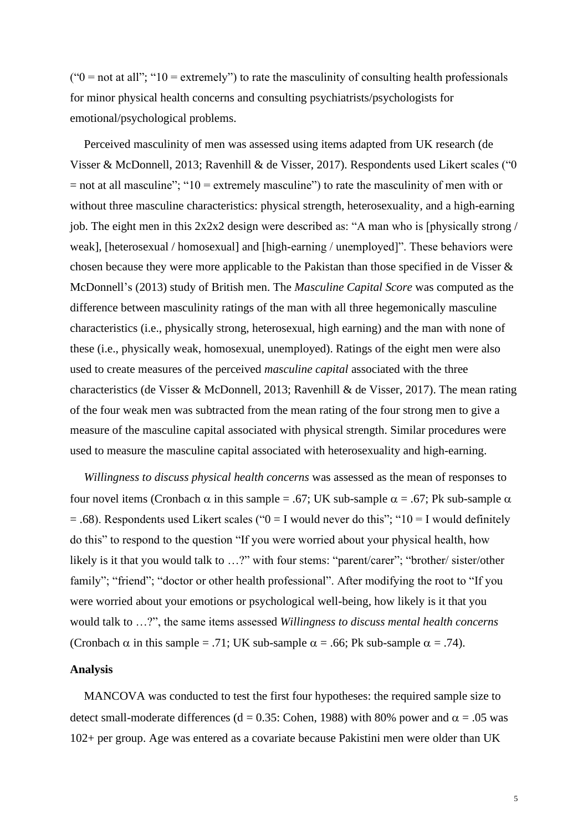( $0 =$  not at all"; "10 = extremely") to rate the masculinity of consulting health professionals for minor physical health concerns and consulting psychiatrists/psychologists for emotional/psychological problems.

Perceived masculinity of men was assessed using items adapted from UK research (de Visser & McDonnell, 2013; Ravenhill & de Visser, 2017). Respondents used Likert scales ("0  $=$  not at all masculine"; "10 = extremely masculine") to rate the masculinity of men with or without three masculine characteristics: physical strength, heterosexuality, and a high-earning job. The eight men in this 2x2x2 design were described as: "A man who is [physically strong / weak], [heterosexual / homosexual] and [high-earning / unemployed]". These behaviors were chosen because they were more applicable to the Pakistan than those specified in de Visser & McDonnell's (2013) study of British men. The *Masculine Capital Score* was computed as the difference between masculinity ratings of the man with all three hegemonically masculine characteristics (i.e., physically strong, heterosexual, high earning) and the man with none of these (i.e., physically weak, homosexual, unemployed). Ratings of the eight men were also used to create measures of the perceived *masculine capital* associated with the three characteristics (de Visser & McDonnell, 2013; Ravenhill & de Visser, 2017). The mean rating of the four weak men was subtracted from the mean rating of the four strong men to give a measure of the masculine capital associated with physical strength. Similar procedures were used to measure the masculine capital associated with heterosexuality and high-earning.

*Willingness to discuss physical health concerns* was assessed as the mean of responses to four novel items (Cronbach  $\alpha$  in this sample = .67; UK sub-sample  $\alpha$  = .67; Pk sub-sample  $\alpha$  $= .68$ ). Respondents used Likert scales (" $0 = I$  would never do this"; " $10 = I$  would definitely do this" to respond to the question "If you were worried about your physical health, how likely is it that you would talk to …?" with four stems: "parent/carer"; "brother/ sister/other family"; "friend"; "doctor or other health professional". After modifying the root to "If you were worried about your emotions or psychological well-being, how likely is it that you would talk to …?", the same items assessed *Willingness to discuss mental health concerns* (Cronbach  $\alpha$  in this sample = .71; UK sub-sample  $\alpha$  = .66; Pk sub-sample  $\alpha$  = .74).

#### **Analysis**

MANCOVA was conducted to test the first four hypotheses: the required sample size to detect small-moderate differences (d = 0.35: Cohen, 1988) with 80% power and  $\alpha$  = .05 was 102+ per group. Age was entered as a covariate because Pakistini men were older than UK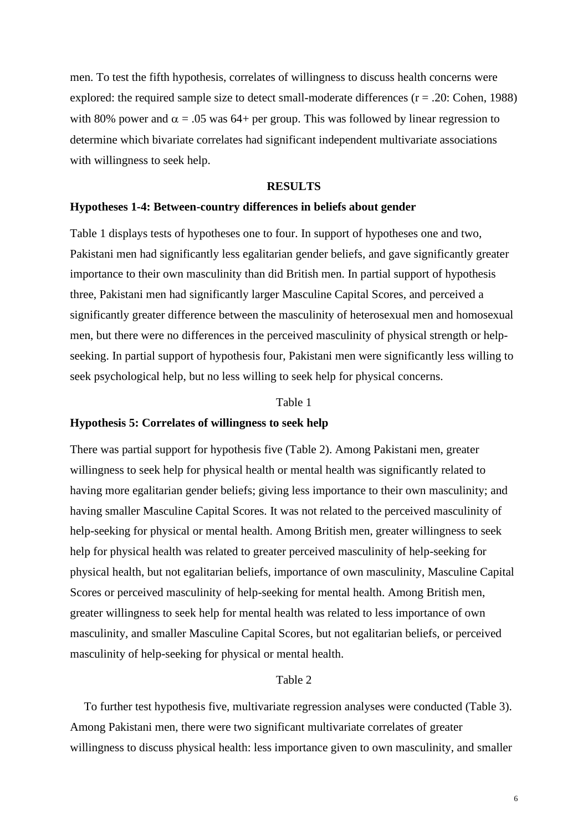men. To test the fifth hypothesis, correlates of willingness to discuss health concerns were explored: the required sample size to detect small-moderate differences  $(r = .20: \text{Cohen}, 1988)$ with 80% power and  $\alpha = 0.05$  was 64+ per group. This was followed by linear regression to determine which bivariate correlates had significant independent multivariate associations with willingness to seek help.

#### **RESULTS**

#### **Hypotheses 1-4: Between-country differences in beliefs about gender**

Table 1 displays tests of hypotheses one to four. In support of hypotheses one and two, Pakistani men had significantly less egalitarian gender beliefs, and gave significantly greater importance to their own masculinity than did British men. In partial support of hypothesis three, Pakistani men had significantly larger Masculine Capital Scores, and perceived a significantly greater difference between the masculinity of heterosexual men and homosexual men, but there were no differences in the perceived masculinity of physical strength or helpseeking. In partial support of hypothesis four, Pakistani men were significantly less willing to seek psychological help, but no less willing to seek help for physical concerns.

#### Table 1

### **Hypothesis 5: Correlates of willingness to seek help**

There was partial support for hypothesis five (Table 2). Among Pakistani men, greater willingness to seek help for physical health or mental health was significantly related to having more egalitarian gender beliefs; giving less importance to their own masculinity; and having smaller Masculine Capital Scores. It was not related to the perceived masculinity of help-seeking for physical or mental health. Among British men, greater willingness to seek help for physical health was related to greater perceived masculinity of help-seeking for physical health, but not egalitarian beliefs, importance of own masculinity, Masculine Capital Scores or perceived masculinity of help-seeking for mental health. Among British men, greater willingness to seek help for mental health was related to less importance of own masculinity, and smaller Masculine Capital Scores, but not egalitarian beliefs, or perceived masculinity of help-seeking for physical or mental health.

#### Table 2

To further test hypothesis five, multivariate regression analyses were conducted (Table 3). Among Pakistani men, there were two significant multivariate correlates of greater willingness to discuss physical health: less importance given to own masculinity, and smaller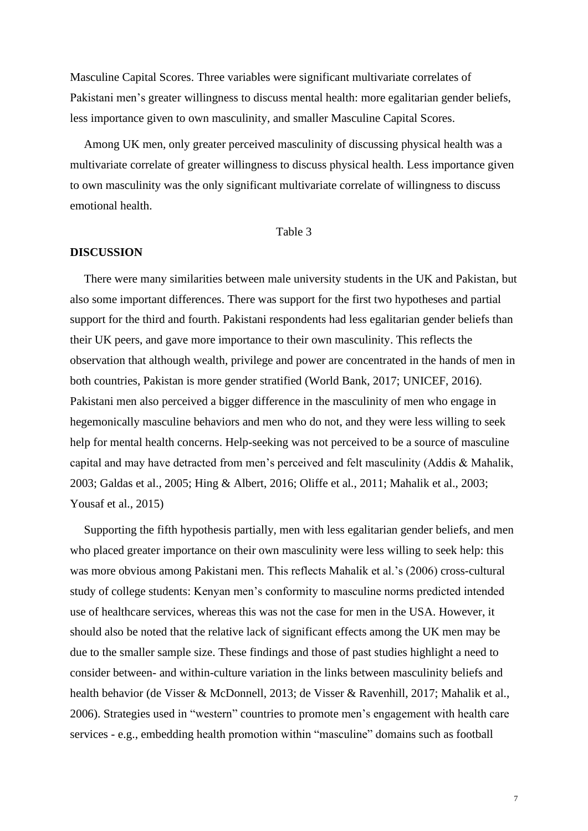Masculine Capital Scores. Three variables were significant multivariate correlates of Pakistani men's greater willingness to discuss mental health: more egalitarian gender beliefs, less importance given to own masculinity, and smaller Masculine Capital Scores.

Among UK men, only greater perceived masculinity of discussing physical health was a multivariate correlate of greater willingness to discuss physical health. Less importance given to own masculinity was the only significant multivariate correlate of willingness to discuss emotional health.

#### Table 3

#### **DISCUSSION**

There were many similarities between male university students in the UK and Pakistan, but also some important differences. There was support for the first two hypotheses and partial support for the third and fourth. Pakistani respondents had less egalitarian gender beliefs than their UK peers, and gave more importance to their own masculinity. This reflects the observation that although wealth, privilege and power are concentrated in the hands of men in both countries, Pakistan is more gender stratified (World Bank, 2017; UNICEF, 2016). Pakistani men also perceived a bigger difference in the masculinity of men who engage in hegemonically masculine behaviors and men who do not, and they were less willing to seek help for mental health concerns. Help-seeking was not perceived to be a source of masculine capital and may have detracted from men's perceived and felt masculinity (Addis & Mahalik, 2003; Galdas et al., 2005; Hing & Albert, 2016; Oliffe et al., 2011; Mahalik et al., 2003; Yousaf et al., 2015)

Supporting the fifth hypothesis partially, men with less egalitarian gender beliefs, and men who placed greater importance on their own masculinity were less willing to seek help: this was more obvious among Pakistani men. This reflects Mahalik et al.'s (2006) cross-cultural study of college students: Kenyan men's conformity to masculine norms predicted intended use of healthcare services, whereas this was not the case for men in the USA. However, it should also be noted that the relative lack of significant effects among the UK men may be due to the smaller sample size. These findings and those of past studies highlight a need to consider between- and within-culture variation in the links between masculinity beliefs and health behavior (de Visser & McDonnell, 2013; de Visser & Ravenhill, 2017; Mahalik et al., 2006). Strategies used in "western" countries to promote men's engagement with health care services - e.g., embedding health promotion within "masculine" domains such as football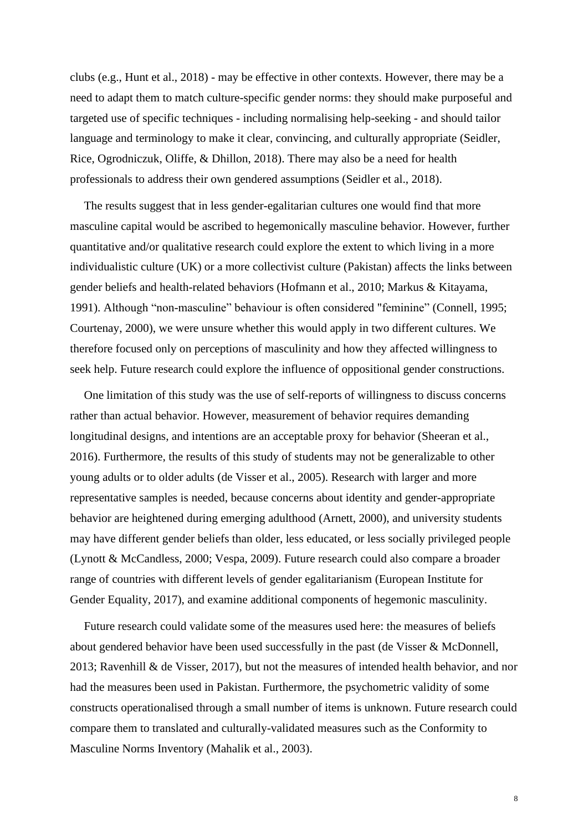clubs (e.g., Hunt et al., 2018) - may be effective in other contexts. However, there may be a need to adapt them to match culture-specific gender norms: they should make purposeful and targeted use of specific techniques - including normalising help-seeking - and should tailor language and terminology to make it clear, convincing, and culturally appropriate (Seidler, Rice, Ogrodniczuk, Oliffe, & Dhillon, 2018). There may also be a need for health professionals to address their own gendered assumptions (Seidler et al., 2018).

The results suggest that in less gender-egalitarian cultures one would find that more masculine capital would be ascribed to hegemonically masculine behavior. However, further quantitative and/or qualitative research could explore the extent to which living in a more individualistic culture (UK) or a more collectivist culture (Pakistan) affects the links between gender beliefs and health-related behaviors (Hofmann et al., 2010; Markus & Kitayama, 1991). Although "non-masculine" behaviour is often considered "feminine" (Connell, 1995; Courtenay, 2000), we were unsure whether this would apply in two different cultures. We therefore focused only on perceptions of masculinity and how they affected willingness to seek help. Future research could explore the influence of oppositional gender constructions.

One limitation of this study was the use of self-reports of willingness to discuss concerns rather than actual behavior. However, measurement of behavior requires demanding longitudinal designs, and intentions are an acceptable proxy for behavior (Sheeran et al., 2016). Furthermore, the results of this study of students may not be generalizable to other young adults or to older adults (de Visser et al., 2005). Research with larger and more representative samples is needed, because concerns about identity and gender-appropriate behavior are heightened during emerging adulthood (Arnett, 2000), and university students may have different gender beliefs than older, less educated, or less socially privileged people (Lynott & McCandless, 2000; Vespa, 2009). Future research could also compare a broader range of countries with different levels of gender egalitarianism (European Institute for Gender Equality, 2017), and examine additional components of hegemonic masculinity.

Future research could validate some of the measures used here: the measures of beliefs about gendered behavior have been used successfully in the past (de Visser & McDonnell, 2013; Ravenhill & de Visser, 2017), but not the measures of intended health behavior, and nor had the measures been used in Pakistan. Furthermore, the psychometric validity of some constructs operationalised through a small number of items is unknown. Future research could compare them to translated and culturally-validated measures such as the Conformity to Masculine Norms Inventory (Mahalik et al., 2003).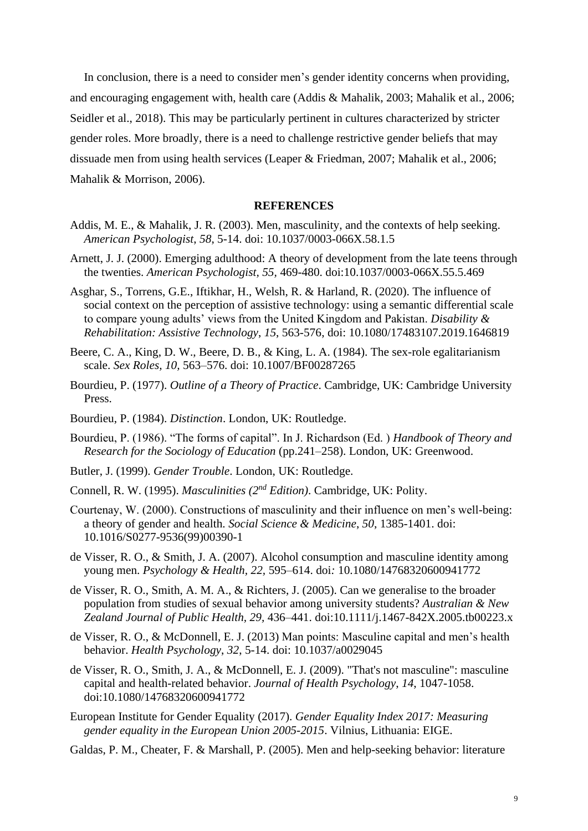In conclusion, there is a need to consider men's gender identity concerns when providing, and encouraging engagement with, health care (Addis & Mahalik, 2003; Mahalik et al., 2006; Seidler et al., 2018). This may be particularly pertinent in cultures characterized by stricter gender roles. More broadly, there is a need to challenge restrictive gender beliefs that may dissuade men from using health services (Leaper & Friedman, 2007; Mahalik et al., 2006; Mahalik & Morrison, 2006).

#### **REFERENCES**

- Addis, M. E., & Mahalik, J. R. (2003). Men, masculinity, and the contexts of help seeking. *American Psychologist*, *58*, 5-14. doi: 10.1037/0003-066X.58.1.5
- Arnett, J. J. (2000). Emerging adulthood: A theory of development from the late teens through the twenties. *American Psychologist, 55,* 469-480. doi:10.1037/0003-066X.55.5.469
- Asghar, S., Torrens, G.E., Iftikhar, H., Welsh, R. & Harland, R. (2020). The influence of social context on the perception of assistive technology: using a semantic differential scale to compare young adults' views from the United Kingdom and Pakistan. *Disability & Rehabilitation: Assistive Technology*, *15*, 563-576, doi: 10.1080/17483107.2019.1646819
- Beere, C. A., King, D. W., Beere, D. B., & King, L. A. (1984). The sex-role egalitarianism scale. *Sex Roles, 10,* 563–576. doi: 10.1007/BF00287265
- Bourdieu, P. (1977). *Outline of a Theory of Practice*. Cambridge, UK: Cambridge University Press.
- Bourdieu, P. (1984). *Distinction*. London, UK: Routledge.
- Bourdieu, P. (1986). "The forms of capital". In J. Richardson (Ed. ) *Handbook of Theory and Research for the Sociology of Education* (pp.241–258). London, UK: Greenwood.
- Butler, J. (1999). *Gender Trouble*. London, UK: Routledge.
- Connell, R. W. (1995). *Masculinities (2nd Edition)*. Cambridge, UK: Polity.
- Courtenay, W. (2000). Constructions of masculinity and their influence on men's well-being: a theory of gender and health. *Social Science & Medicine*, *50*, 1385-1401. doi: 10.1016/S0277-9536(99)00390-1
- de Visser, R. O., & Smith, J. A. (2007). Alcohol consumption and masculine identity among young men. *Psychology & Health, 22,* 595–614. doi*:* 10.1080/14768320600941772
- de Visser, R. O., Smith, A. M. A., & Richters, J. (2005). Can we generalise to the broader population from studies of sexual behavior among university students? *Australian & New Zealand Journal of Public Health, 29,* 436–441. doi:10.1111/j.1467-842X.2005.tb00223.x
- de Visser, R. O., & McDonnell, E. J. (2013) Man points: Masculine capital and men's health behavior. *Health Psychology*, *32*, 5-14. doi: 10.1037/a0029045
- de Visser, R. O., Smith, J. A., & McDonnell, E. J. (2009). "That's not masculine": masculine capital and health-related behavior. *Journal of Health Psychology*, *14*, 1047-1058. doi:10.1080/14768320600941772
- European Institute for Gender Equality (2017). *Gender Equality Index 2017: Measuring gender equality in the European Union 2005-2015*. Vilnius, Lithuania: EIGE.
- Galdas, P. M., Cheater, F. & Marshall, P. (2005). Men and help-seeking behavior: literature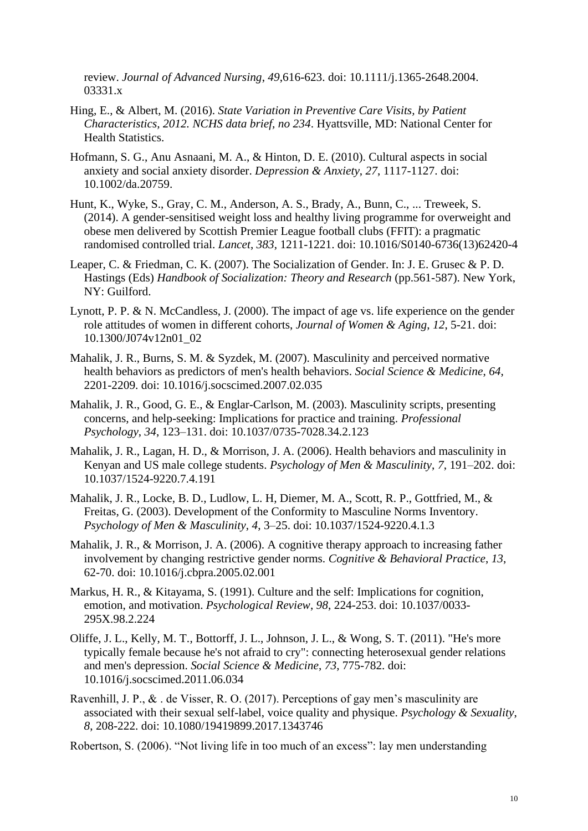review. *Journal of Advanced Nursing*, *49*,616-623. doi: 10.1111/j.1365-2648.2004. 03331.x

- Hing, E., & Albert, M. (2016). *State Variation in Preventive Care Visits, by Patient Characteristics, 2012. NCHS data brief, no 234*. Hyattsville, MD: National Center for Health Statistics.
- Hofmann, S. G., Anu Asnaani, M. A., & Hinton, D. E. (2010). Cultural aspects in social anxiety and social anxiety disorder. *Depression & Anxiety*, *27*, 1117-1127. doi: 10.1002/da.20759.
- Hunt, K., Wyke, S., Gray, C. M., Anderson, A. S., Brady, A., Bunn, C., ... Treweek, S. (2014). A gender-sensitised weight loss and healthy living programme for overweight and obese men delivered by Scottish Premier League football clubs (FFIT): a pragmatic randomised controlled trial. *Lancet*, *383*, 1211-1221. doi: 10.1016/S0140-6736(13)62420-4
- Leaper, C. & Friedman, C. K. (2007). The Socialization of Gender. In: J. E. Grusec & P. D. Hastings (Eds) *Handbook of Socialization: Theory and Research* (pp.561-587). New York, NY: Guilford.
- Lynott, P. P. & N. McCandless, J. (2000). The impact of age vs. life experience on the gender role attitudes of women in different cohorts, *Journal of Women & Aging*, *12*, 5-21. doi: 10.1300/J074v12n01\_02
- Mahalik, J. R., Burns, S. M. & Syzdek, M. (2007). Masculinity and perceived normative health behaviors as predictors of men's health behaviors. *Social Science & Medicine*, *64*, 2201-2209. doi: 10.1016/j.socscimed.2007.02.035
- Mahalik, J. R., Good, G. E., & Englar-Carlson, M. (2003). Masculinity scripts, presenting concerns, and help-seeking: Implications for practice and training. *Professional Psychology*, *34*, 123–131. doi: 10.1037/0735-7028.34.2.123
- Mahalik, J. R., Lagan, H. D., & Morrison, J. A. (2006). Health behaviors and masculinity in Kenyan and US male college students. *Psychology of Men & Masculinity*, *7*, 191–202. doi: 10.1037/1524-9220.7.4.191
- Mahalik, J. R., Locke, B. D., Ludlow, L. H, Diemer, M. A., Scott, R. P., Gottfried, M., & Freitas, G. (2003). Development of the Conformity to Masculine Norms Inventory. *Psychology of Men & Masculinity*, *4*, 3–25. doi: 10.1037/1524-9220.4.1.3
- Mahalik, J. R., & Morrison, J. A. (2006). A cognitive therapy approach to increasing father involvement by changing restrictive gender norms. *Cognitive & Behavioral Practice*, *13*, 62-70. doi: 10.1016/j.cbpra.2005.02.001
- Markus, H. R., & Kitayama, S. (1991). Culture and the self: Implications for cognition, emotion, and motivation. *Psychological Review*, *98*, 224-253. doi: 10.1037/0033- 295X.98.2.224
- Oliffe, J. L., Kelly, M. T., Bottorff, J. L., Johnson, J. L., & Wong, S. T. (2011). "He's more typically female because he's not afraid to cry": connecting heterosexual gender relations and men's depression. *Social Science & Medicine*, *73*, 775-782. doi: 10.1016/j.socscimed.2011.06.034
- Ravenhill, J. P., & . de Visser, R. O. (2017). Perceptions of gay men's masculinity are associated with their sexual self-label, voice quality and physique. *Psychology & Sexuality*, *8*, 208-222. doi: 10.1080/19419899.2017.1343746
- Robertson, S. (2006). "Not living life in too much of an excess": lay men understanding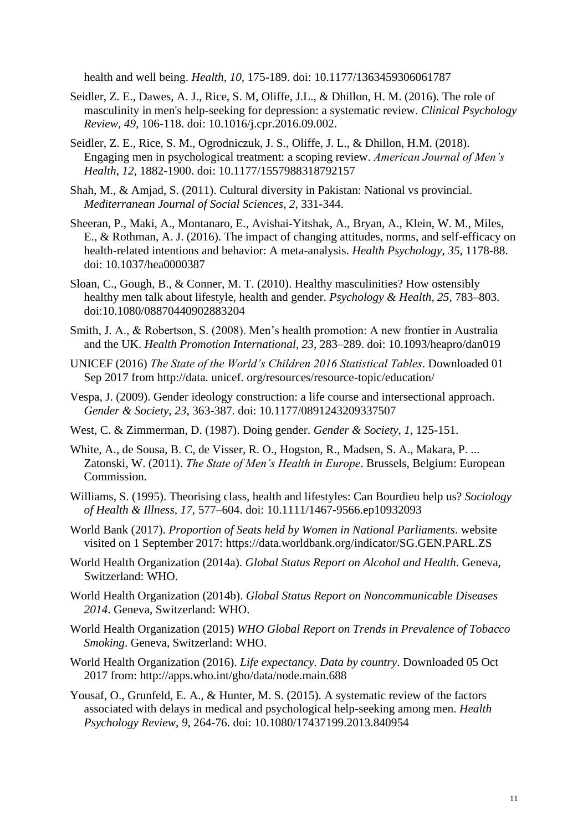health and well being. *Health, 10,* 175-189. doi: 10.1177/1363459306061787

- Seidler, Z. E., Dawes, A. J., Rice, S. M, Oliffe, J.L., & Dhillon, H. M. (2016). The role of masculinity in men's help-seeking for depression: a systematic review. *Clinical Psychology Review*, *49*, 106-118. doi: 10.1016/j.cpr.2016.09.002.
- Seidler, Z. E., Rice, S. M., Ogrodniczuk, J. S., Oliffe, J. L., & Dhillon, H.M. (2018). Engaging men in psychological treatment: a scoping review. *American Journal of Men's Health*, *12*, 1882-1900. doi: 10.1177/1557988318792157
- Shah, M., & Amjad, S. (2011). Cultural diversity in Pakistan: National vs provincial. *Mediterranean Journal of Social Sciences*, *2*, 331-344.
- Sheeran, P., Maki, A., Montanaro, E., Avishai-Yitshak, A., Bryan, A., Klein, W. M., Miles, E., & Rothman, A. J. (2016). The impact of changing attitudes, norms, and self-efficacy on health-related intentions and behavior: A meta-analysis. *Health Psychology*, *35*, 1178-88. doi: 10.1037/hea0000387
- Sloan, C., Gough, B., & Conner, M. T. (2010). Healthy masculinities? How ostensibly healthy men talk about lifestyle, health and gender. *Psychology & Health, 25,* 783–803. doi:10.1080/08870440902883204
- Smith, J. A., & Robertson, S. (2008). Men's health promotion: A new frontier in Australia and the UK. *Health Promotion International, 23,* 283–289. doi: 10.1093/heapro/dan019
- UNICEF (2016) *The State of the World's Children 2016 Statistical Tables*. Downloaded 01 Sep 2017 from http://data. unicef. org/resources/resource-topic/education/
- Vespa, J. (2009). Gender ideology construction: a life course and intersectional approach. *Gender & Society*, *23*, 363-387. doi: 10.1177/0891243209337507
- West, C. & Zimmerman, D. (1987). Doing gender. *Gender & Society*, *1*, 125-151.
- White, A., de Sousa, B. C, de Visser, R. O., Hogston, R., Madsen, S. A., Makara, P. ... Zatonski, W. (2011). *The State of Men's Health in Europe*. Brussels, Belgium: European Commission.
- Williams, S. (1995). Theorising class, health and lifestyles: Can Bourdieu help us? *Sociology of Health & Illness, 17,* 577–604. doi: 10.1111/1467-9566.ep10932093
- World Bank (2017). *Proportion of Seats held by Women in National Parliaments*. website visited on 1 September 2017: https://data.worldbank.org/indicator/SG.GEN.PARL.ZS
- World Health Organization (2014a). *Global Status Report on Alcohol and Health*. Geneva, Switzerland: WHO.
- World Health Organization (2014b). *Global Status Report on Noncommunicable Diseases 2014*. Geneva, Switzerland: WHO.
- World Health Organization (2015) *WHO Global Report on Trends in Prevalence of Tobacco Smoking*. Geneva, Switzerland: WHO.
- World Health Organization (2016). *Life expectancy. Data by country*. Downloaded 05 Oct 2017 from: http://apps.who.int/gho/data/node.main.688
- Yousaf, O., Grunfeld, E. A., & Hunter, M. S. (2015). A systematic review of the factors associated with delays in medical and psychological help-seeking among men. *Health Psychology Review*, *9*, 264-76. doi: 10.1080/17437199.2013.840954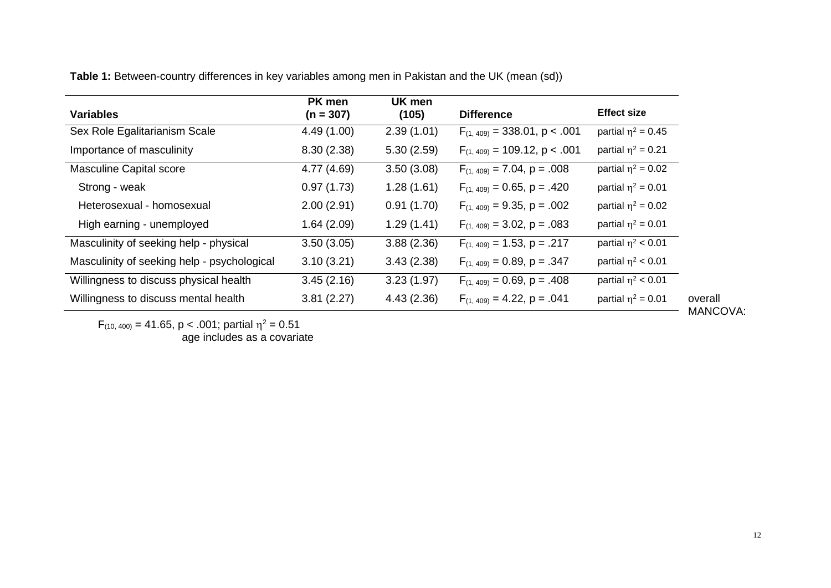**Table 1:** Between-country differences in key variables among men in Pakistan and the UK (mean (sd))

| <b>Variables</b>                            | PK men<br>$(n = 307)$ | UK men<br>(105) | <b>Difference</b>                  | <b>Effect size</b>      |
|---------------------------------------------|-----------------------|-----------------|------------------------------------|-------------------------|
| Sex Role Egalitarianism Scale               | 4.49 (1.00)           | 2.39(1.01)      | $F_{(1, 409)} = 338.01$ , p < .001 | partial $\eta^2$ = 0.45 |
| Importance of masculinity                   | 8.30(2.38)            | 5.30(2.59)      | $F_{(1, 409)} = 109.12$ , p < .001 | partial $\eta^2$ = 0.21 |
| <b>Masculine Capital score</b>              | 4.77 (4.69)           | 3.50(3.08)      | $F_{(1, 409)} = 7.04$ , p = .008   | partial $\eta^2$ = 0.02 |
| Strong - weak                               | 0.97(1.73)            | 1.28(1.61)      | $F_{(1, 409)} = 0.65$ , p = .420   | partial $\eta^2$ = 0.01 |
| Heterosexual - homosexual                   | 2.00(2.91)            | 0.91(1.70)      | $F_{(1, 409)} = 9.35$ , p = .002   | partial $\eta^2$ = 0.02 |
| High earning - unemployed                   | 1.64(2.09)            | 1.29(1.41)      | $F_{(1, 409)} = 3.02$ , p = .083   | partial $\eta^2$ = 0.01 |
| Masculinity of seeking help - physical      | 3.50(3.05)            | 3.88(2.36)      | $F_{(1, 409)} = 1.53$ , p = .217   | partial $\eta^2$ < 0.01 |
| Masculinity of seeking help - psychological | 3.10(3.21)            | 3.43(2.38)      | $F_{(1, 409)} = 0.89$ , p = .347   | partial $\eta^2$ < 0.01 |
| Willingness to discuss physical health      | 3.45(2.16)            | 3.23(1.97)      | $F_{(1, 409)} = 0.69$ , p = .408   | partial $\eta^2$ < 0.01 |
| Willingness to discuss mental health        | 3.81(2.27)            | 4.43(2.36)      | $F_{(1, 409)} = 4.22$ , p = .041   | partial $\eta^2$ = 0.01 |
|                                             |                       |                 |                                    |                         |

 $F_{(10, 400)} = 41.65$ , p < .001; partial  $\eta^2 = 0.51$ 

age includes as a covariate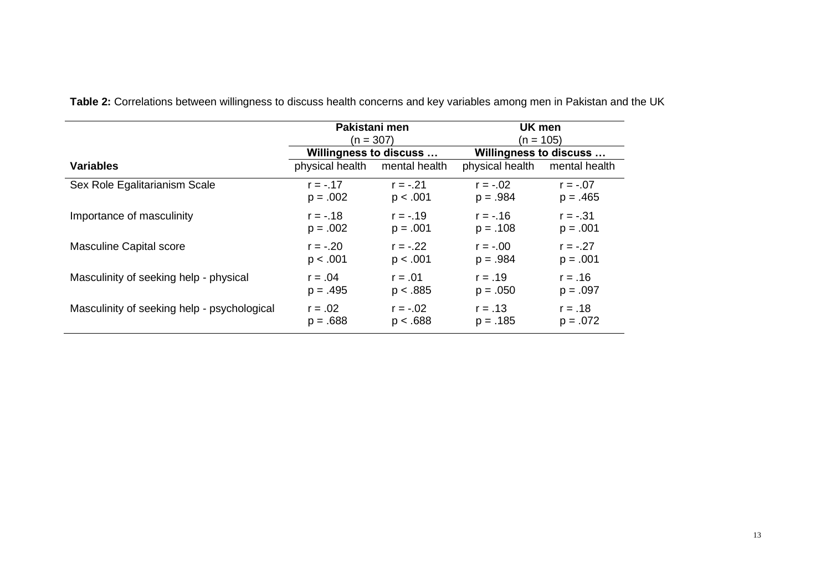|                                             | Pakistani men<br>$(n = 307)$ |               | UK men<br>(n = 105)    |               |
|---------------------------------------------|------------------------------|---------------|------------------------|---------------|
|                                             | Willingness to discuss       |               | Willingness to discuss |               |
| <b>Variables</b>                            | physical health              | mental health | physical health        | mental health |
| Sex Role Egalitarianism Scale               | $r = -0.17$                  | $r = -.21$    | $r = -.02$             | $r = -.07$    |
|                                             | $p = .002$                   | p < .001      | $p = .984$             | $p = .465$    |
| Importance of masculinity                   | $r = -0.18$                  | $r = -.19$    | $r = -0.16$            | $r = -.31$    |
|                                             | $p = .002$                   | $p = .001$    | $p = .108$             | $p = .001$    |
| <b>Masculine Capital score</b>              | $r = -.20$                   | $r = -.22$    | $r = -.00$             | $r = -.27$    |
|                                             | p < .001                     | p < .001      | $p = .984$             | $p = .001$    |
| Masculinity of seeking help - physical      | $r = .04$                    | $r = .01$     | $r = .19$              | $r = .16$     |
|                                             | $p = .495$                   | p < .885      | $p = .050$             | $p = .097$    |
| Masculinity of seeking help - psychological | $r = .02$                    | $r = -.02$    | $r = .13$              | $r = .18$     |
|                                             | $p = .688$                   | p < .688      | $p = .185$             | $p = .072$    |

**Table 2:** Correlations between willingness to discuss health concerns and key variables among men in Pakistan and the UK